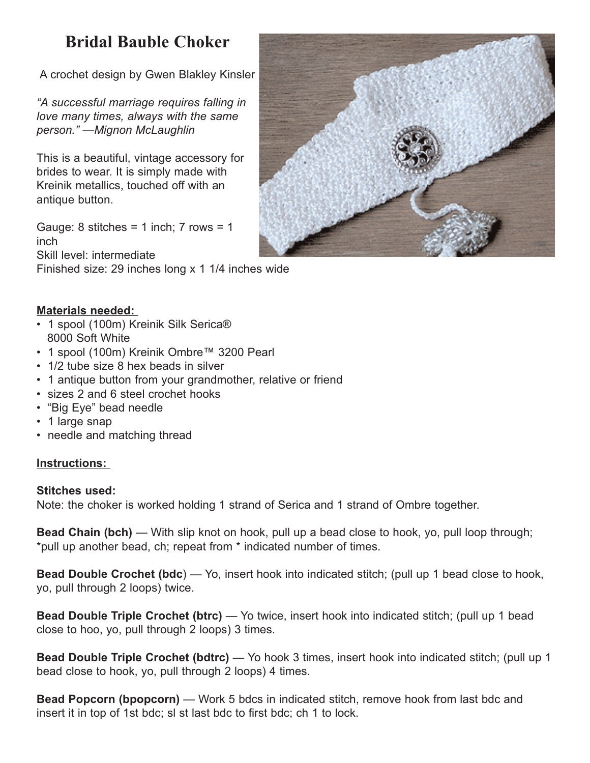## **Bridal Bauble Choker**

A crochet design by Gwen Blakley Kinsler

*"A successful marriage requires falling in love many times, always with the same person." —Mignon McLaughlin* 

This is a beautiful, vintage accessory for brides to wear. It is simply made with Kreinik metallics, touched off with an antique button.

Gauge:  $8$  stitches =  $1$  inch;  $7$  rows =  $1$ inch Skill level: intermediate

Finished size: 29 inches long x 1 1/4 inches wide



## **Materials needed:**

- 1 spool (100m) Kreinik Silk Serica® 8000 Soft White
- 1 spool (100m) Kreinik Ombre™ 3200 Pearl
- 1/2 tube size 8 hex beads in silver
- 1 antique button from your grandmother, relative or friend
- sizes 2 and 6 steel crochet hooks
- "Big Eye" bead needle
- 1 large snap
- needle and matching thread

## **Instructions:**

## **Stitches used:**

Note: the choker is worked holding 1 strand of Serica and 1 strand of Ombre together.

**Bead Chain (bch)** — With slip knot on hook, pull up a bead close to hook, yo, pull loop through; \*pull up another bead, ch; repeat from \* indicated number of times.

**Bead Double Crochet (bdc**) — Yo, insert hook into indicated stitch; (pull up 1 bead close to hook, yo, pull through 2 loops) twice.

**Bead Double Triple Crochet (btrc)** — Yo twice, insert hook into indicated stitch; (pull up 1 bead close to hoo, yo, pull through 2 loops) 3 times.

**Bead Double Triple Crochet (bdtrc)** — Yo hook 3 times, insert hook into indicated stitch; (pull up 1 bead close to hook, yo, pull through 2 loops) 4 times.

**Bead Popcorn (bpopcorn)** — Work 5 bdcs in indicated stitch, remove hook from last bdc and insert it in top of 1st bdc; sl st last bdc to first bdc; ch 1 to lock.